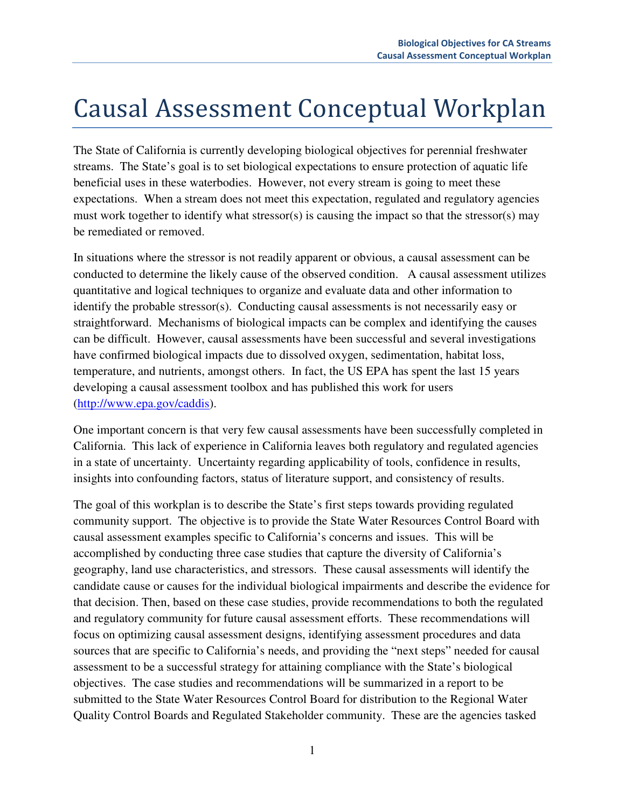# Causal Assessment Conceptual Workplan

The State of California is currently developing biological objectives for perennial freshwater streams. The State's goal is to set biological expectations to ensure protection of aquatic life beneficial uses in these waterbodies. However, not every stream is going to meet these expectations. When a stream does not meet this expectation, regulated and regulatory agencies must work together to identify what stressor(s) is causing the impact so that the stressor(s) may be remediated or removed.

In situations where the stressor is not readily apparent or obvious, a causal assessment can be conducted to determine the likely cause of the observed condition. A causal assessment utilizes quantitative and logical techniques to organize and evaluate data and other information to identify the probable stressor(s). Conducting causal assessments is not necessarily easy or straightforward. Mechanisms of biological impacts can be complex and identifying the causes can be difficult. However, causal assessments have been successful and several investigations have confirmed biological impacts due to dissolved oxygen, sedimentation, habitat loss, temperature, and nutrients, amongst others. In fact, the US EPA has spent the last 15 years developing a causal assessment toolbox and has published this work for users (http://www.epa.gov/caddis).

One important concern is that very few causal assessments have been successfully completed in California. This lack of experience in California leaves both regulatory and regulated agencies in a state of uncertainty. Uncertainty regarding applicability of tools, confidence in results, insights into confounding factors, status of literature support, and consistency of results.

The goal of this workplan is to describe the State's first steps towards providing regulated community support. The objective is to provide the State Water Resources Control Board with causal assessment examples specific to California's concerns and issues. This will be accomplished by conducting three case studies that capture the diversity of California's geography, land use characteristics, and stressors. These causal assessments will identify the candidate cause or causes for the individual biological impairments and describe the evidence for that decision. Then, based on these case studies, provide recommendations to both the regulated and regulatory community for future causal assessment efforts. These recommendations will focus on optimizing causal assessment designs, identifying assessment procedures and data sources that are specific to California's needs, and providing the "next steps" needed for causal assessment to be a successful strategy for attaining compliance with the State's biological objectives. The case studies and recommendations will be summarized in a report to be submitted to the State Water Resources Control Board for distribution to the Regional Water Quality Control Boards and Regulated Stakeholder community. These are the agencies tasked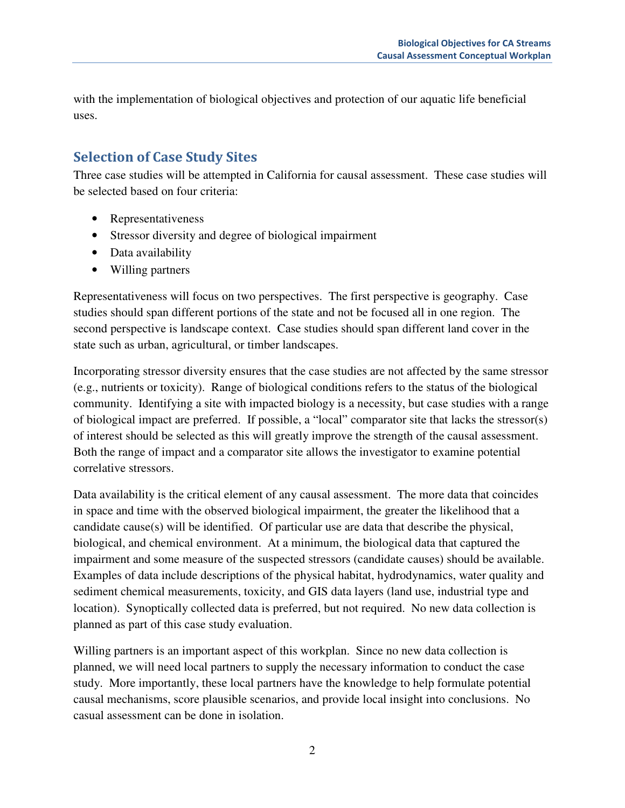with the implementation of biological objectives and protection of our aquatic life beneficial uses.

## Selection of Case Study Sites

Three case studies will be attempted in California for causal assessment. These case studies will be selected based on four criteria:

- Representativeness
- Stressor diversity and degree of biological impairment
- Data availability
- Willing partners

Representativeness will focus on two perspectives. The first perspective is geography. Case studies should span different portions of the state and not be focused all in one region. The second perspective is landscape context. Case studies should span different land cover in the state such as urban, agricultural, or timber landscapes.

Incorporating stressor diversity ensures that the case studies are not affected by the same stressor (e.g., nutrients or toxicity). Range of biological conditions refers to the status of the biological community. Identifying a site with impacted biology is a necessity, but case studies with a range of biological impact are preferred. If possible, a "local" comparator site that lacks the stressor(s) of interest should be selected as this will greatly improve the strength of the causal assessment. Both the range of impact and a comparator site allows the investigator to examine potential correlative stressors.

Data availability is the critical element of any causal assessment. The more data that coincides in space and time with the observed biological impairment, the greater the likelihood that a candidate cause(s) will be identified. Of particular use are data that describe the physical, biological, and chemical environment. At a minimum, the biological data that captured the impairment and some measure of the suspected stressors (candidate causes) should be available. Examples of data include descriptions of the physical habitat, hydrodynamics, water quality and sediment chemical measurements, toxicity, and GIS data layers (land use, industrial type and location). Synoptically collected data is preferred, but not required. No new data collection is planned as part of this case study evaluation.

Willing partners is an important aspect of this workplan. Since no new data collection is planned, we will need local partners to supply the necessary information to conduct the case study. More importantly, these local partners have the knowledge to help formulate potential causal mechanisms, score plausible scenarios, and provide local insight into conclusions. No casual assessment can be done in isolation.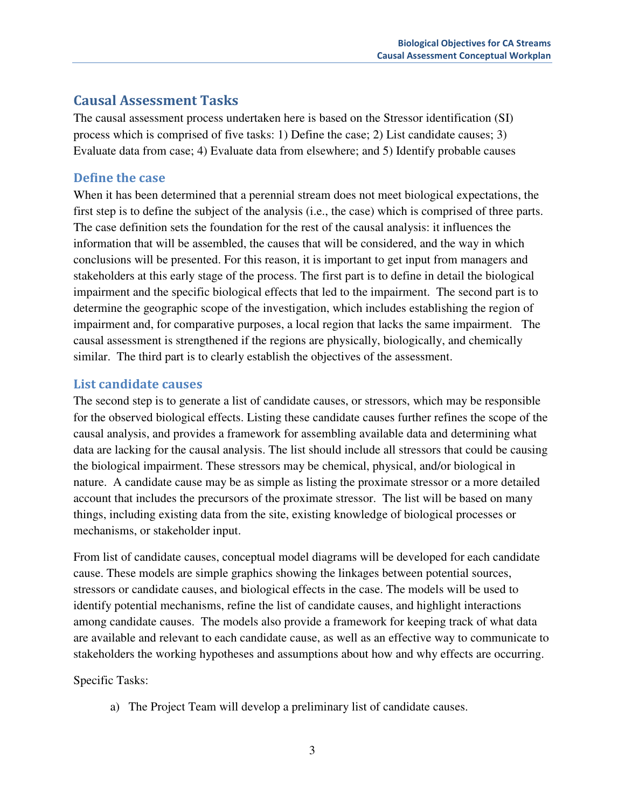## Causal Assessment Tasks

The causal assessment process undertaken here is based on the Stressor identification (SI) process which is comprised of five tasks: 1) Define the case; 2) List candidate causes; 3) Evaluate data from case; 4) Evaluate data from elsewhere; and 5) Identify probable causes

#### Define the case

When it has been determined that a perennial stream does not meet biological expectations, the first step is to define the subject of the analysis (i.e., the case) which is comprised of three parts. The case definition sets the foundation for the rest of the causal analysis: it influences the information that will be assembled, the causes that will be considered, and the way in which conclusions will be presented. For this reason, it is important to get input from managers and stakeholders at this early stage of the process. The first part is to define in detail the biological impairment and the specific biological effects that led to the impairment. The second part is to determine the geographic scope of the investigation, which includes establishing the region of impairment and, for comparative purposes, a local region that lacks the same impairment. The causal assessment is strengthened if the regions are physically, biologically, and chemically similar. The third part is to clearly establish the objectives of the assessment.

### List candidate causes

The second step is to generate a list of candidate causes, or stressors, which may be responsible for the observed biological effects. Listing these candidate causes further refines the scope of the causal analysis, and provides a framework for assembling available data and determining what data are lacking for the causal analysis. The list should include all stressors that could be causing the biological impairment. These stressors may be chemical, physical, and/or biological in nature. A candidate cause may be as simple as listing the proximate stressor or a more detailed account that includes the precursors of the proximate stressor. The list will be based on many things, including existing data from the site, existing knowledge of biological processes or mechanisms, or stakeholder input.

From list of candidate causes, conceptual model diagrams will be developed for each candidate cause. These models are simple graphics showing the linkages between potential sources, stressors or candidate causes, and biological effects in the case. The models will be used to identify potential mechanisms, refine the list of candidate causes, and highlight interactions among candidate causes. The models also provide a framework for keeping track of what data are available and relevant to each candidate cause, as well as an effective way to communicate to stakeholders the working hypotheses and assumptions about how and why effects are occurring.

#### Specific Tasks:

a) The Project Team will develop a preliminary list of candidate causes.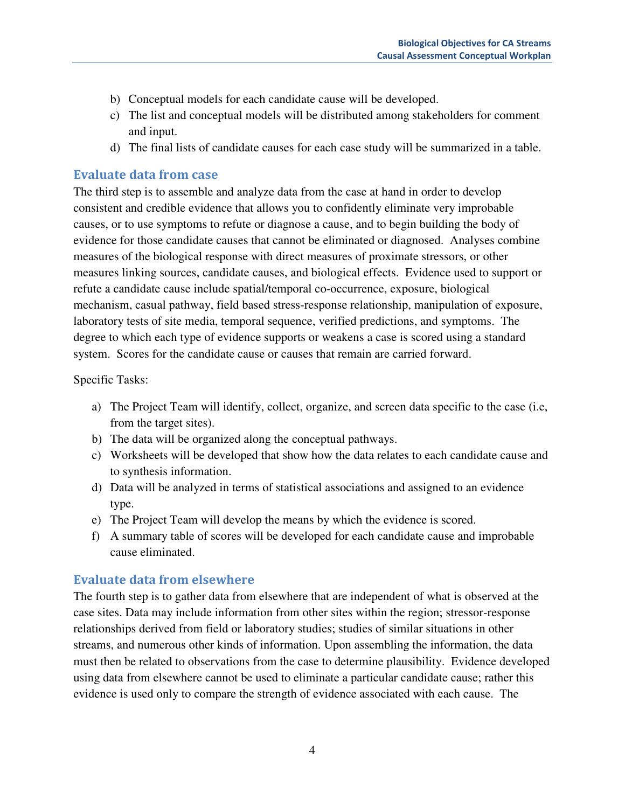- b) Conceptual models for each candidate cause will be developed.
- c) The list and conceptual models will be distributed among stakeholders for comment and input.
- d) The final lists of candidate causes for each case study will be summarized in a table.

#### Evaluate data from case

The third step is to assemble and analyze data from the case at hand in order to develop consistent and credible evidence that allows you to confidently eliminate very improbable causes, or to use symptoms to refute or diagnose a cause, and to begin building the body of evidence for those candidate causes that cannot be eliminated or diagnosed. Analyses combine measures of the biological response with direct measures of proximate stressors, or other measures linking sources, candidate causes, and biological effects. Evidence used to support or refute a candidate cause include spatial/temporal co-occurrence, exposure, biological mechanism, casual pathway, field based stress-response relationship, manipulation of exposure, laboratory tests of site media, temporal sequence, verified predictions, and symptoms. The degree to which each type of evidence supports or weakens a case is scored using a standard system. Scores for the candidate cause or causes that remain are carried forward.

#### Specific Tasks:

- a) The Project Team will identify, collect, organize, and screen data specific to the case (i.e, from the target sites).
- b) The data will be organized along the conceptual pathways.
- c) Worksheets will be developed that show how the data relates to each candidate cause and to synthesis information.
- d) Data will be analyzed in terms of statistical associations and assigned to an evidence type.
- e) The Project Team will develop the means by which the evidence is scored.
- f) A summary table of scores will be developed for each candidate cause and improbable cause eliminated.

### Evaluate data from elsewhere

The fourth step is to gather data from elsewhere that are independent of what is observed at the case sites. Data may include information from other sites within the region; stressor-response relationships derived from field or laboratory studies; studies of similar situations in other streams, and numerous other kinds of information. Upon assembling the information, the data must then be related to observations from the case to determine plausibility. Evidence developed using data from elsewhere cannot be used to eliminate a particular candidate cause; rather this evidence is used only to compare the strength of evidence associated with each cause. The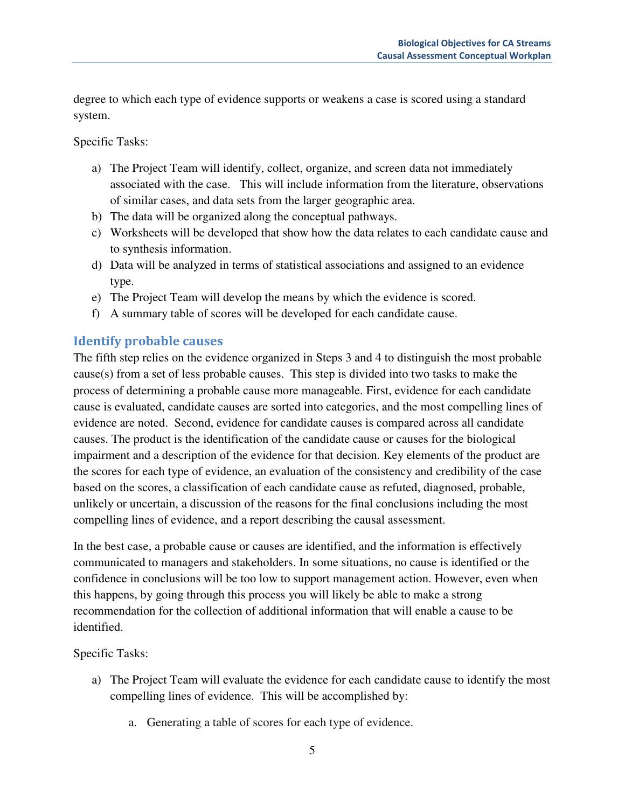degree to which each type of evidence supports or weakens a case is scored using a standard system.

Specific Tasks:

- a) The Project Team will identify, collect, organize, and screen data not immediately associated with the case. This will include information from the literature, observations of similar cases, and data sets from the larger geographic area.
- b) The data will be organized along the conceptual pathways.
- c) Worksheets will be developed that show how the data relates to each candidate cause and to synthesis information.
- d) Data will be analyzed in terms of statistical associations and assigned to an evidence type.
- e) The Project Team will develop the means by which the evidence is scored.
- f) A summary table of scores will be developed for each candidate cause.

#### Identify probable causes

The fifth step relies on the evidence organized in Steps 3 and 4 to distinguish the most probable cause(s) from a set of less probable causes. This step is divided into two tasks to make the process of determining a probable cause more manageable. First, evidence for each candidate cause is evaluated, candidate causes are sorted into categories, and the most compelling lines of evidence are noted. Second, evidence for candidate causes is compared across all candidate causes. The product is the identification of the candidate cause or causes for the biological impairment and a description of the evidence for that decision. Key elements of the product are the scores for each type of evidence, an evaluation of the consistency and credibility of the case based on the scores, a classification of each candidate cause as refuted, diagnosed, probable, unlikely or uncertain, a discussion of the reasons for the final conclusions including the most compelling lines of evidence, and a report describing the causal assessment.

In the best case, a probable cause or causes are identified, and the information is effectively communicated to managers and stakeholders. In some situations, no cause is identified or the confidence in conclusions will be too low to support management action. However, even when this happens, by going through this process you will likely be able to make a strong recommendation for the collection of additional information that will enable a cause to be identified.

#### Specific Tasks:

- a) The Project Team will evaluate the evidence for each candidate cause to identify the most compelling lines of evidence. This will be accomplished by:
	- a. Generating a table of scores for each type of evidence.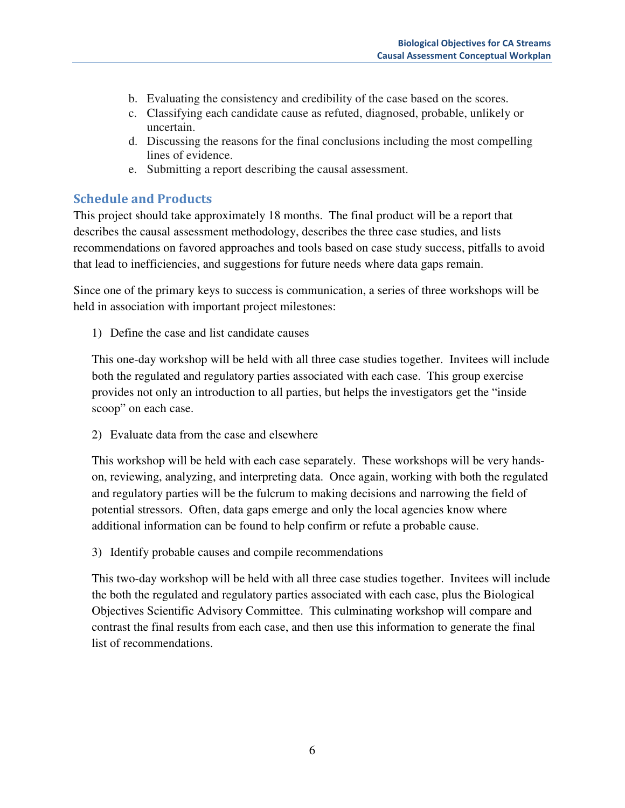- b. Evaluating the consistency and credibility of the case based on the scores.
- c. Classifying each candidate cause as refuted, diagnosed, probable, unlikely or uncertain.
- d. Discussing the reasons for the final conclusions including the most compelling lines of evidence.
- e. Submitting a report describing the causal assessment.

### Schedule and Products

This project should take approximately 18 months. The final product will be a report that describes the causal assessment methodology, describes the three case studies, and lists recommendations on favored approaches and tools based on case study success, pitfalls to avoid that lead to inefficiencies, and suggestions for future needs where data gaps remain.

Since one of the primary keys to success is communication, a series of three workshops will be held in association with important project milestones:

1) Define the case and list candidate causes

This one-day workshop will be held with all three case studies together. Invitees will include both the regulated and regulatory parties associated with each case. This group exercise provides not only an introduction to all parties, but helps the investigators get the "inside scoop" on each case.

2) Evaluate data from the case and elsewhere

This workshop will be held with each case separately. These workshops will be very handson, reviewing, analyzing, and interpreting data. Once again, working with both the regulated and regulatory parties will be the fulcrum to making decisions and narrowing the field of potential stressors. Often, data gaps emerge and only the local agencies know where additional information can be found to help confirm or refute a probable cause.

3) Identify probable causes and compile recommendations

This two-day workshop will be held with all three case studies together. Invitees will include the both the regulated and regulatory parties associated with each case, plus the Biological Objectives Scientific Advisory Committee. This culminating workshop will compare and contrast the final results from each case, and then use this information to generate the final list of recommendations.